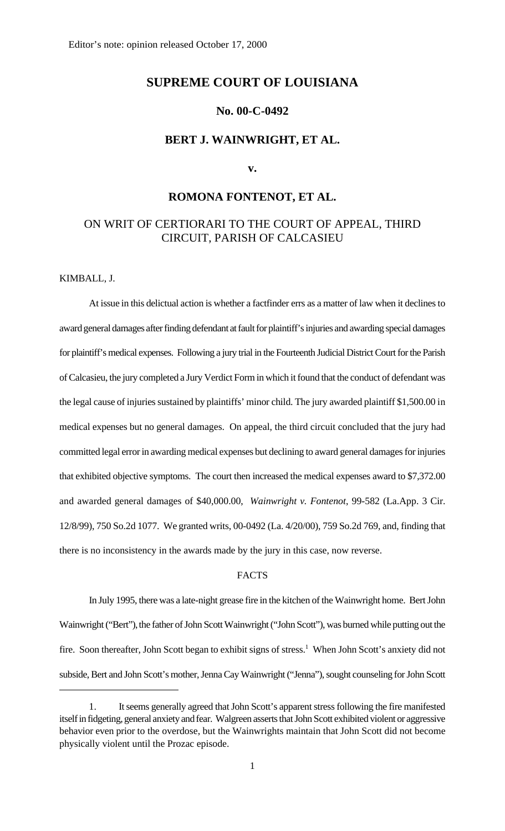## **ROMONA FONTENOT, ET AL.**

# ON WRIT OF CERTIORARI TO THE COURT OF APPEAL, THIRD CIRCUIT, PARISH OF CALCASIEU

#### KIMBALL, J.

At issue in this delictual action is whether a factfinder errs as a matter of law when it declines to award general damages after finding defendant at fault for plaintiff's injuries and awarding special damages for plaintiff's medical expenses. Following a jury trial in the Fourteenth Judicial District Court for the Parish of Calcasieu, the jury completed a Jury Verdict Form in which it found that the conduct of defendant was the legal cause of injuries sustained by plaintiffs' minor child. The jury awarded plaintiff \$1,500.00 in medical expenses but no general damages. On appeal, the third circuit concluded that the jury had committed legal error in awarding medical expenses but declining to award general damages for injuries that exhibited objective symptoms. The court then increased the medical expenses award to \$7,372.00 and awarded general damages of \$40,000.00, *Wainwright v. Fontenot*, 99-582 (La.App. 3 Cir. 12/8/99), 750 So.2d 1077. We granted writs, 00-0492 (La. 4/20/00), 759 So.2d 769, and, finding that there is no inconsistency in the awards made by the jury in this case, now reverse.

#### FACTS

In July 1995, there was a late-night grease fire in the kitchen of the Wainwright home. Bert John Wainwright ("Bert"), the father of John Scott Wainwright ("John Scott"), was burned while putting out the fire. Soon thereafter, John Scott began to exhibit signs of stress.<sup>1</sup> When John Scott's anxiety did not subside, Bert and John Scott's mother, Jenna Cay Wainwright ("Jenna"), sought counseling for John Scott

<sup>1.</sup> It seems generally agreed that John Scott's apparent stress following the fire manifested itself in fidgeting, general anxiety and fear. Walgreen asserts that John Scott exhibited violent or aggressive behavior even prior to the overdose, but the Wainwrights maintain that John Scott did not become physically violent until the Prozac episode.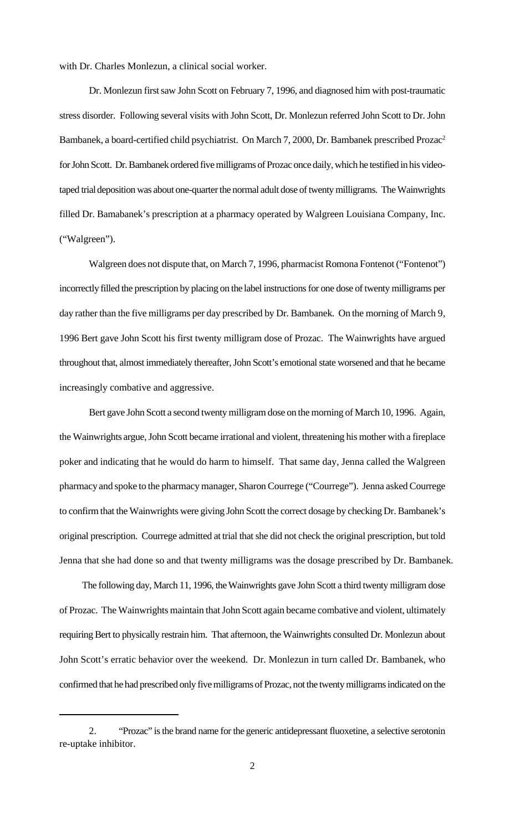with Dr. Charles Monlezun, a clinical social worker.

Dr. Monlezun first saw John Scott on February 7, 1996, and diagnosed him with post-traumatic stress disorder. Following several visits with John Scott, Dr. Monlezun referred John Scott to Dr. John Bambanek, a board-certified child psychiatrist. On March 7, 2000, Dr. Bambanek prescribed Prozac<sup>2</sup> for John Scott. Dr. Bambanek ordered five milligrams of Prozac once daily, which he testified in his videotaped trial deposition was about one-quarter the normal adult dose of twenty milligrams. The Wainwrights filled Dr. Bamabanek's prescription at a pharmacy operated by Walgreen Louisiana Company, Inc. ("Walgreen").

Walgreen does not dispute that, on March 7, 1996, pharmacist Romona Fontenot ("Fontenot") incorrectly filled the prescription by placing on the label instructions for one dose of twenty milligrams per day rather than the five milligrams per day prescribed by Dr. Bambanek. On the morning of March 9, 1996 Bert gave John Scott his first twenty milligram dose of Prozac. The Wainwrights have argued throughout that, almost immediately thereafter, John Scott's emotional state worsened and that he became increasingly combative and aggressive.

Bert gave John Scott a second twenty milligram dose on the morning of March 10, 1996. Again, the Wainwrights argue, John Scott became irrational and violent, threatening his mother with a fireplace poker and indicating that he would do harm to himself. That same day, Jenna called the Walgreen pharmacy and spoke to the pharmacy manager, Sharon Courrege ("Courrege"). Jenna asked Courrege to confirm that the Wainwrights were giving John Scott the correct dosage by checking Dr. Bambanek's original prescription. Courrege admitted at trial that she did not check the original prescription, but told Jenna that she had done so and that twenty milligrams was the dosage prescribed by Dr. Bambanek.

 The following day, March 11, 1996, the Wainwrights gave John Scott a third twenty milligram dose of Prozac. The Wainwrights maintain that John Scott again became combative and violent, ultimately requiring Bert to physically restrain him. That afternoon, the Wainwrights consulted Dr. Monlezun about John Scott's erratic behavior over the weekend. Dr. Monlezun in turn called Dr. Bambanek, who confirmed that he had prescribed only five milligrams of Prozac, not the twenty milligramsindicated on the

<sup>2.</sup> "Prozac" is the brand name for the generic antidepressant fluoxetine, a selective serotonin re-uptake inhibitor.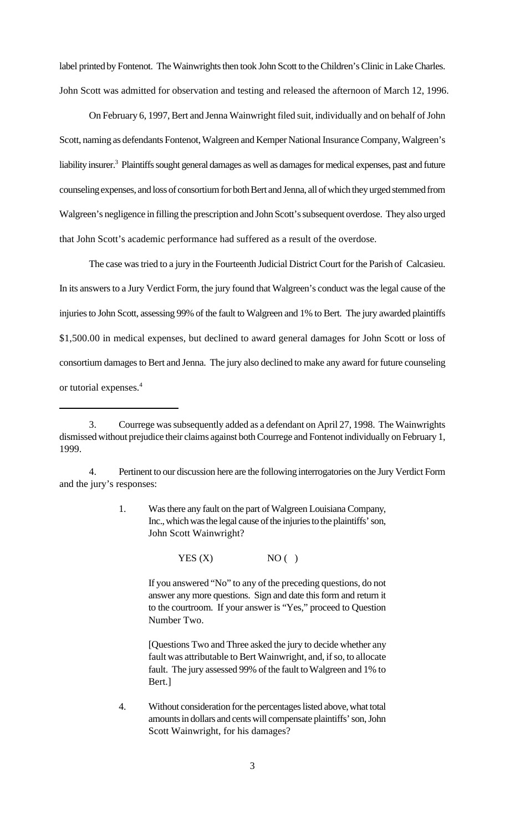label printed by Fontenot. The Wainwrights then took John Scott to the Children's Clinic in Lake Charles. John Scott was admitted for observation and testing and released the afternoon of March 12, 1996.

On February 6, 1997, Bert and Jenna Wainwright filed suit, individually and on behalf of John Scott, naming as defendants Fontenot, Walgreen and Kemper National Insurance Company, Walgreen's liability insurer.<sup>3</sup> Plaintiffs sought general damages as well as damages for medical expenses, past and future counselingexpenses, and loss of consortium for both Bert and Jenna, all of which they urged stemmed from Walgreen's negligence in filling the prescription and John Scott's subsequent overdose. They also urged that John Scott's academic performance had suffered as a result of the overdose.

The case was tried to a jury in the Fourteenth Judicial District Court for the Parish of Calcasieu. In its answers to a Jury Verdict Form, the jury found that Walgreen's conduct was the legal cause of the injuries to John Scott, assessing 99% of the fault to Walgreen and 1% to Bert. The jury awarded plaintiffs \$1,500.00 in medical expenses, but declined to award general damages for John Scott or loss of consortium damages to Bert and Jenna. The jury also declined to make any award for future counseling or tutorial expenses.4

4. Pertinent to our discussion here are the following interrogatories on the Jury Verdict Form and the jury's responses:

> 1. Was there any fault on the part of Walgreen Louisiana Company, Inc., which wasthe legal cause of the injuries to the plaintiffs' son, John Scott Wainwright?

> > $YES(X)$  NO ()

If you answered "No" to any of the preceding questions, do not answer any more questions. Sign and date this form and return it to the courtroom. If your answer is "Yes," proceed to Question Number Two.

[Questions Two and Three asked the jury to decide whether any fault was attributable to Bert Wainwright, and, if so, to allocate fault. The jury assessed 99% of the fault to Walgreen and 1% to Bert.]

4. Without consideration for the percentages listed above, what total amounts in dollars and cents will compensate plaintiffs' son, John Scott Wainwright, for his damages?

<sup>3.</sup> Courrege was subsequently added as a defendant on April 27, 1998. The Wainwrights dismissed without prejudice their claims against both Courrege and Fontenot individually on February 1, 1999.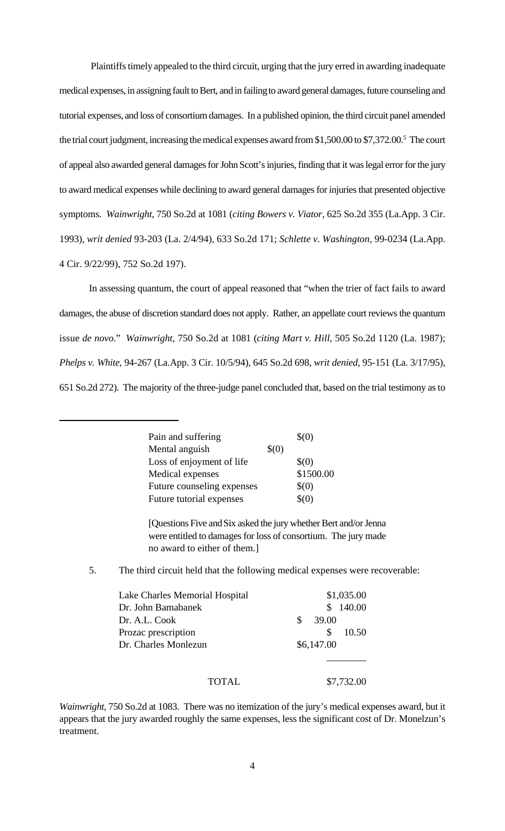Plaintiffs timely appealed to the third circuit, urging that the jury erred in awarding inadequate medical expenses, in assigning fault to Bert, and in failing to award general damages, future counseling and tutorial expenses, and loss of consortium damages. In a published opinion, the third circuit panel amended the trial court judgment, increasing the medical expenses award from \$1,500.00 to \$7,372.00.<sup>5</sup> The court of appeal also awarded general damages for John Scott's injuries, finding that it was legal error for the jury to award medical expenses while declining to award general damages for injuries that presented objective symptoms. *Wainwright*, 750 So.2d at 1081 (*citing Bowers v. Viator*, 625 So.2d 355 (La.App. 3 Cir. 1993), *writ denied* 93-203 (La. 2/4/94), 633 So.2d 171; *Schlette v. Washington*, 99-0234 (La.App. 4 Cir. 9/22/99), 752 So.2d 197).

In assessing quantum, the court of appeal reasoned that "when the trier of fact fails to award damages, the abuse of discretion standard does not apply. Rather, an appellate court reviews the quantum issue *de novo*." *Wainwright*, 750 So.2d at 1081 (*citing Mart v. Hill*, 505 So.2d 1120 (La. 1987); *Phelps v. White*, 94-267 (La.App. 3 Cir. 10/5/94), 645 So.2d 698, *writ denied*, 95-151 (La. 3/17/95), 651 So.2d 272). The majority of the three-judge panel concluded that, based on the trial testimony as to

| Pain and suffering                |       | \$(0)     |
|-----------------------------------|-------|-----------|
| Mental anguish                    | \$(0) |           |
| Loss of enjoyment of life         |       | \$(0)     |
| Medical expenses                  |       | \$1500.00 |
| <b>Future counseling expenses</b> |       | \$(0)     |
| Future tutorial expenses          |       | $\$(0)$   |

[Questions Five and Six asked the jury whether Bert and/or Jenna were entitled to damages for loss of consortium. The jury made no award to either of them.]

5. The third circuit held that the following medical expenses were recoverable:

| Lake Charles Memorial Hospital | \$1,035.00    |  |
|--------------------------------|---------------|--|
| Dr. John Bamabanek             | 140.00<br>\$. |  |
| Dr. A.L. Cook                  | 39.00<br>\$   |  |
| Prozac prescription            | \$<br>10.50   |  |
| Dr. Charles Monlezun           | \$6,147.00    |  |
|                                |               |  |
| <b>TOTAL</b>                   | \$7,732.00    |  |

*Wainwright*, 750 So.2d at 1083. There was no itemization of the jury's medical expenses award, but it appears that the jury awarded roughly the same expenses, less the significant cost of Dr. Monelzun's treatment.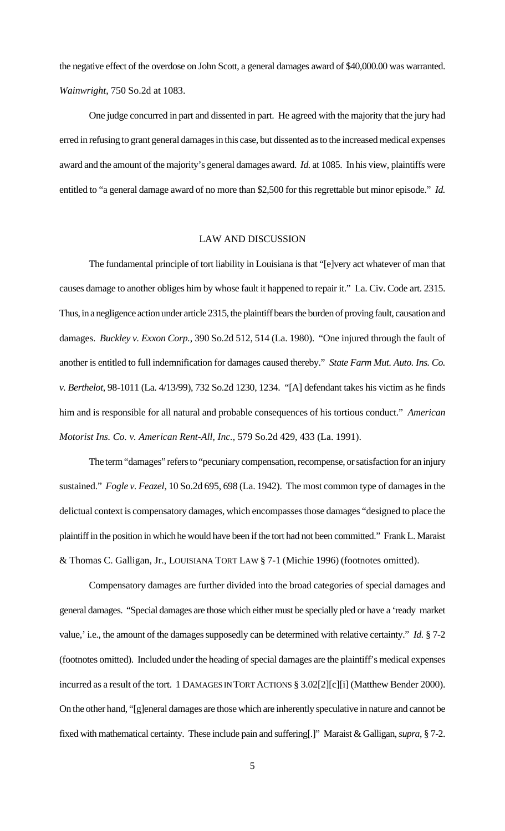the negative effect of the overdose on John Scott, a general damages award of \$40,000.00 was warranted. *Wainwright*, 750 So.2d at 1083.

One judge concurred in part and dissented in part. He agreed with the majority that the jury had erred in refusing to grant general damages in this case, but dissented asto the increased medical expenses award and the amount of the majority's general damages award. *Id.* at 1085. In his view, plaintiffs were entitled to "a general damage award of no more than \$2,500 for this regrettable but minor episode." *Id.*

### LAW AND DISCUSSION

The fundamental principle of tort liability in Louisiana is that "[e]very act whatever of man that causes damage to another obliges him by whose fault it happened to repair it." La. Civ. Code art. 2315. Thus, in a negligence action under article 2315, the plaintiff bears the burden of proving fault, causation and damages. *Buckley v. Exxon Corp.*, 390 So.2d 512, 514 (La. 1980). "One injured through the fault of another is entitled to full indemnification for damages caused thereby." *State Farm Mut. Auto. Ins. Co. v. Berthelot*, 98-1011 (La. 4/13/99), 732 So.2d 1230, 1234. "[A] defendant takes his victim as he finds him and is responsible for all natural and probable consequences of his tortious conduct." *American Motorist Ins. Co. v. American Rent-All, Inc.*, 579 So.2d 429, 433 (La. 1991).

The term "damages" refers to "pecuniary compensation, recompense, or satisfaction for an injury sustained." *Fogle v. Feazel*, 10 So.2d 695, 698 (La. 1942). The most common type of damages in the delictual context is compensatory damages, which encompasses those damages "designed to place the plaintiff in the position in which he would have been if the tort had not been committed." Frank L. Maraist & Thomas C. Galligan, Jr., LOUISIANA TORT LAW § 7-1 (Michie 1996) (footnotes omitted).

Compensatory damages are further divided into the broad categories of special damages and general damages. "Special damages are those which either must be specially pled or have a 'ready market value,' i.e., the amount of the damages supposedly can be determined with relative certainty." *Id.* § 7-2 (footnotes omitted). Included under the heading of special damages are the plaintiff's medical expenses incurred as a result of the tort. 1 DAMAGES IN TORT ACTIONS § 3.02[2][c][i] (Matthew Bender 2000). On the other hand, "[g]eneral damages are those which are inherently speculative in nature and cannot be fixed with mathematical certainty. These include pain and suffering[.]" Maraist & Galligan, *supra*, § 7-2.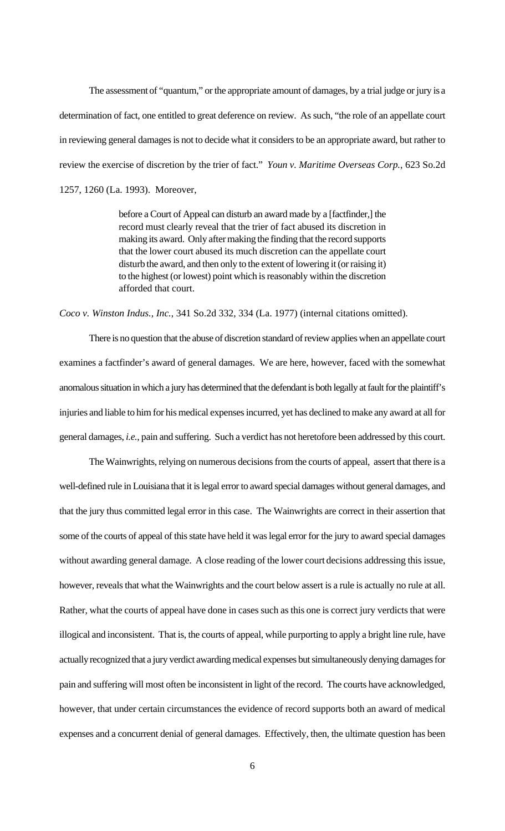The assessment of "quantum," or the appropriate amount of damages, by a trial judge or jury is a determination of fact, one entitled to great deference on review. As such, "the role of an appellate court in reviewing general damages is not to decide what it considers to be an appropriate award, but rather to review the exercise of discretion by the trier of fact." *Youn v. Maritime Overseas Corp.*, 623 So.2d 1257, 1260 (La. 1993). Moreover,

> before a Court of Appeal can disturb an award made by a [factfinder,] the record must clearly reveal that the trier of fact abused its discretion in making its award. Only after making the finding that the record supports that the lower court abused its much discretion can the appellate court disturb the award, and then only to the extent of lowering it (or raising it) to the highest (or lowest) point which is reasonably within the discretion afforded that court.

*Coco v. Winston Indus., Inc.*, 341 So.2d 332, 334 (La. 1977) (internal citations omitted).

There is no question that the abuse of discretion standard of review applies when an appellate court examines a factfinder's award of general damages. We are here, however, faced with the somewhat anomalous situation in which a jury has determined that the defendant is both legally at fault for the plaintiff's injuries and liable to him for his medical expenses incurred, yet has declined to make any award at all for general damages, *i.e.*, pain and suffering. Such a verdict has not heretofore been addressed by this court.

The Wainwrights, relying on numerous decisions from the courts of appeal, assert that there is a well-defined rule in Louisiana that it is legal error to award special damages without general damages, and that the jury thus committed legal error in this case. The Wainwrights are correct in their assertion that some of the courts of appeal of this state have held it was legal error for the jury to award special damages without awarding general damage. A close reading of the lower court decisions addressing this issue, however, reveals that what the Wainwrights and the court below assert is a rule is actually no rule at all. Rather, what the courts of appeal have done in cases such as this one is correct jury verdicts that were illogical and inconsistent. That is, the courts of appeal, while purporting to apply a bright line rule, have actually recognized that a jury verdict awarding medical expenses but simultaneously denying damages for pain and suffering will most often be inconsistent in light of the record. The courts have acknowledged, however, that under certain circumstances the evidence of record supports both an award of medical expenses and a concurrent denial of general damages. Effectively, then, the ultimate question has been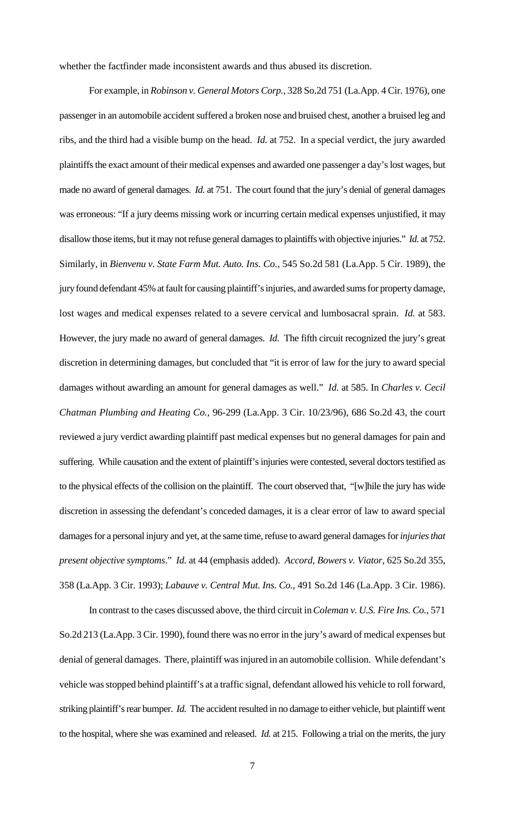whether the factfinder made inconsistent awards and thus abused its discretion.

For example, in *Robinson v. General Motors Corp.*, 328 So.2d 751 (La.App. 4 Cir. 1976), one passenger in an automobile accident suffered a broken nose and bruised chest, another a bruised leg and ribs, and the third had a visible bump on the head. *Id.* at 752. In a special verdict, the jury awarded plaintiffs the exact amount of their medical expenses and awarded one passenger a day's lost wages, but made no award of general damages. *Id.* at 751. The court found that the jury's denial of general damages was erroneous: "If a jury deems missing work or incurring certain medical expenses unjustified, it may disallow those items, but it may not refuse general damages to plaintiffs with objective injuries." *Id.* at 752. Similarly, in *Bienvenu v. State Farm Mut. Auto. Ins. Co.*, 545 So.2d 581 (La.App. 5 Cir. 1989), the jury found defendant 45% at fault for causing plaintiff's injuries, and awarded sums for property damage, lost wages and medical expenses related to a severe cervical and lumbosacral sprain. *Id.* at 583. However, the jury made no award of general damages. *Id.* The fifth circuit recognized the jury's great discretion in determining damages, but concluded that "it is error of law for the jury to award special damages without awarding an amount for general damages as well." *Id.* at 585. In *Charles v. Cecil Chatman Plumbing and Heating Co.*, 96-299 (La.App. 3 Cir. 10/23/96), 686 So.2d 43, the court reviewed a jury verdict awarding plaintiff past medical expenses but no general damages for pain and suffering. While causation and the extent of plaintiff's injuries were contested, several doctors testified as to the physical effects of the collision on the plaintiff. The court observed that, "[w]hile the jury has wide discretion in assessing the defendant's conceded damages, it is a clear error of law to award special damages for a personal injury and yet, at the same time, refuse to award general damages for*injuries that present objective symptoms*." *Id.* at 44 (emphasis added). *Accord*, *Bowers v. Viator*, 625 So.2d 355, 358 (La.App. 3 Cir. 1993); *Labauve v. Central Mut. Ins. Co.*, 491 So.2d 146 (La.App. 3 Cir. 1986).

In contrast to the cases discussed above, the third circuit in *Coleman v. U.S. Fire Ins. Co.*, 571 So.2d 213 (La.App. 3 Cir. 1990), found there was no error in the jury's award of medical expenses but denial of general damages. There, plaintiff was injured in an automobile collision. While defendant's vehicle was stopped behind plaintiff's at a traffic signal, defendant allowed his vehicle to roll forward, striking plaintiff's rear bumper. *Id.* The accident resulted in no damage to either vehicle, but plaintiff went to the hospital, where she was examined and released. *Id.* at 215. Following a trial on the merits, the jury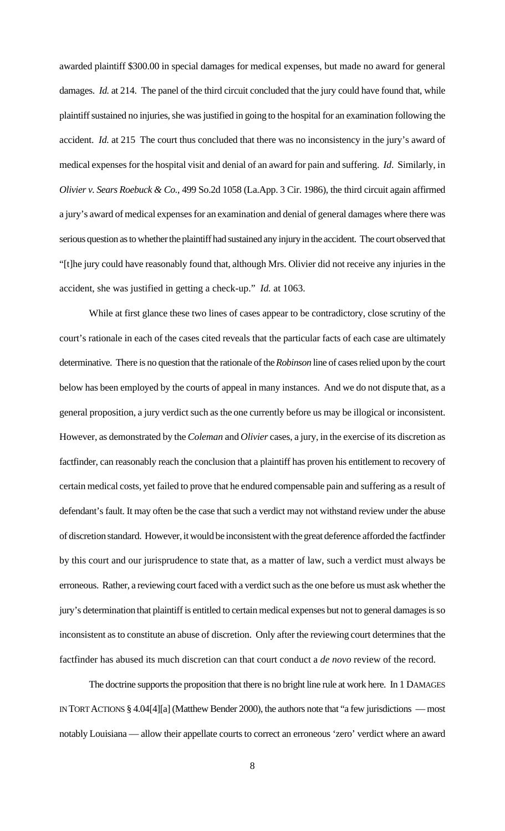awarded plaintiff \$300.00 in special damages for medical expenses, but made no award for general damages. *Id.* at 214. The panel of the third circuit concluded that the jury could have found that, while plaintiff sustained no injuries, she was justified in going to the hospital for an examination following the accident. *Id.* at 215 The court thus concluded that there was no inconsistency in the jury's award of medical expenses for the hospital visit and denial of an award for pain and suffering. *Id*. Similarly, in *Olivier v. Sears Roebuck & Co.*, 499 So.2d 1058 (La.App. 3 Cir. 1986), the third circuit again affirmed a jury's award of medical expenses for an examination and denial of general damages where there was serious question as to whether the plaintiff had sustained any injury in the accident. The court observed that "[t]he jury could have reasonably found that, although Mrs. Olivier did not receive any injuries in the accident, she was justified in getting a check-up." *Id.* at 1063.

While at first glance these two lines of cases appear to be contradictory, close scrutiny of the court's rationale in each of the cases cited reveals that the particular facts of each case are ultimately determinative. There is no question that the rationale of the *Robinson* line of cases relied upon by the court below has been employed by the courts of appeal in many instances. And we do not dispute that, as a general proposition, a jury verdict such as the one currently before us may be illogical or inconsistent. However, as demonstrated by the *Coleman* and *Olivier* cases, a jury, in the exercise of its discretion as factfinder, can reasonably reach the conclusion that a plaintiff has proven his entitlement to recovery of certain medical costs, yet failed to prove that he endured compensable pain and suffering as a result of defendant's fault. It may often be the case that such a verdict may not withstand review under the abuse of discretion standard. However, it would be inconsistent with the great deference afforded the factfinder by this court and our jurisprudence to state that, as a matter of law, such a verdict must always be erroneous. Rather, a reviewing court faced with a verdict such as the one before us must ask whether the jury's determination that plaintiff is entitled to certain medical expenses but not to general damages is so inconsistent as to constitute an abuse of discretion. Only after the reviewing court determines that the factfinder has abused its much discretion can that court conduct a *de novo* review of the record.

The doctrine supports the proposition that there is no bright line rule at work here. In 1 DAMAGES INTORT ACTIONS § 4.04[4][a] (Matthew Bender 2000), the authors note that "a few jurisdictions — most notably Louisiana — allow their appellate courts to correct an erroneous 'zero' verdict where an award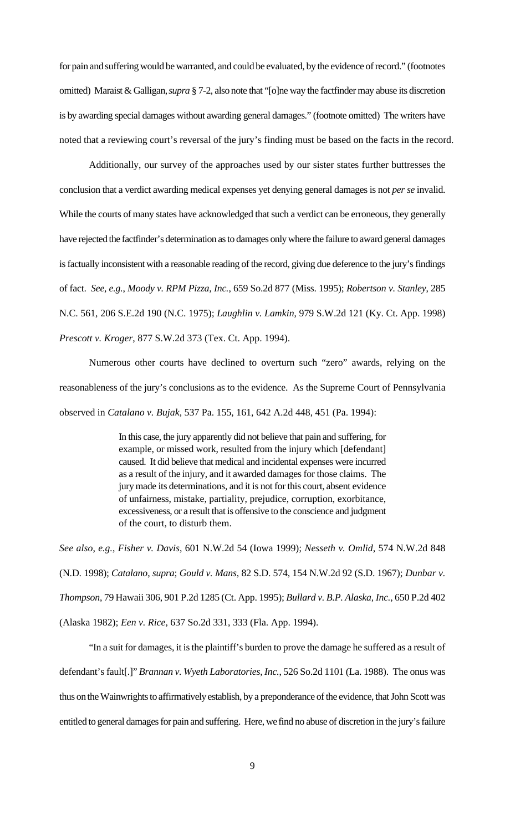for pain and suffering would be warranted, and could be evaluated, by the evidence of record." (footnotes omitted) Maraist & Galligan,*supra* § 7-2, also note that "[o]ne way the factfinder may abuse its discretion is by awarding special damages without awarding general damages." (footnote omitted) The writers have noted that a reviewing court's reversal of the jury's finding must be based on the facts in the record.

Additionally, our survey of the approaches used by our sister states further buttresses the conclusion that a verdict awarding medical expenses yet denying general damages is not *per se* invalid. While the courts of many states have acknowledged that such a verdict can be erroneous, they generally have rejected the factfinder's determination as to damages only where the failure to award general damages is factually inconsistent with a reasonable reading of the record, giving due deference to the jury's findings of fact. *See*, *e.g.*, *Moody v. RPM Pizza, Inc.*, 659 So.2d 877 (Miss. 1995); *Robertson v. Stanley*, 285 N.C. 561, 206 S.E.2d 190 (N.C. 1975); *Laughlin v. Lamkin*, 979 S.W.2d 121 (Ky. Ct. App. 1998) *Prescott v. Kroger*, 877 S.W.2d 373 (Tex. Ct. App. 1994).

Numerous other courts have declined to overturn such "zero" awards, relying on the reasonableness of the jury's conclusions as to the evidence. As the Supreme Court of Pennsylvania observed in *Catalano v. Bujak*, 537 Pa. 155, 161, 642 A.2d 448, 451 (Pa. 1994):

> In this case, the jury apparently did not believe that pain and suffering, for example, or missed work, resulted from the injury which [defendant] caused. It did believe that medical and incidental expenses were incurred as a result of the injury, and it awarded damages for those claims. The jury made its determinations, and it is not for this court, absent evidence of unfairness, mistake, partiality, prejudice, corruption, exorbitance, excessiveness, or a result that is offensive to the conscience and judgment of the court, to disturb them.

*See also*, *e.g.*, *Fisher v. Davis*, 601 N.W.2d 54 (Iowa 1999); *Nesseth v. Omlid*, 574 N.W.2d 848 (N.D. 1998); *Catalano*, *supra*; *Gould v. Mans*, 82 S.D. 574, 154 N.W.2d 92 (S.D. 1967); *Dunbar v. Thompson*, 79 Hawaii 306, 901 P.2d 1285 (Ct. App. 1995); *Bullard v. B.P. Alaska, Inc.*, 650 P.2d 402 (Alaska 1982); *Een v. Rice*, 637 So.2d 331, 333 (Fla. App. 1994).

"In a suit for damages, it is the plaintiff's burden to prove the damage he suffered as a result of defendant's fault[.]" *Brannan v. Wyeth Laboratories, Inc.*, 526 So.2d 1101 (La. 1988). The onus was thus on the Wainwrights to affirmatively establish, by a preponderance of the evidence, that John Scott was entitled to general damages for pain and suffering. Here, we find no abuse of discretion in the jury's failure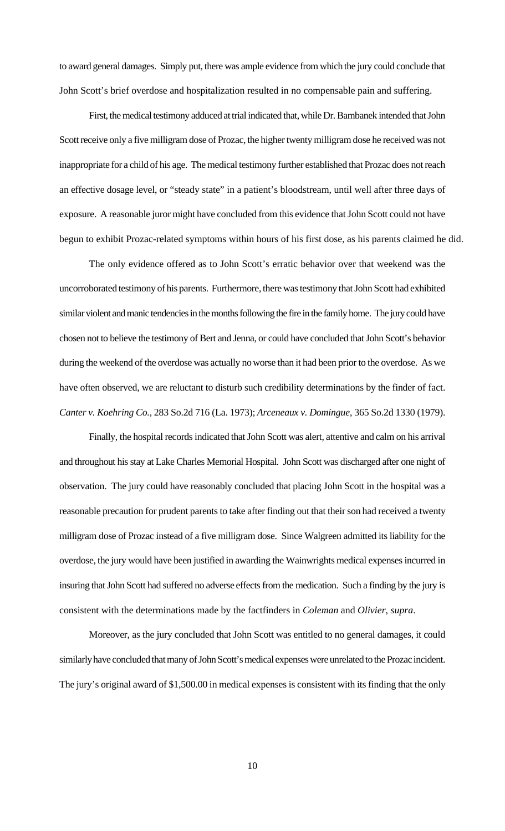to award general damages. Simply put, there was ample evidence from which the jury could conclude that John Scott's brief overdose and hospitalization resulted in no compensable pain and suffering.

First, the medical testimony adduced attrial indicated that, while Dr. Bambanek intended that John Scott receive only a five milligram dose of Prozac, the higher twenty milligram dose he received was not inappropriate for a child of his age. The medical testimony further established that Prozac does not reach an effective dosage level, or "steady state" in a patient's bloodstream, until well after three days of exposure. A reasonable juror might have concluded from this evidence that John Scott could not have begun to exhibit Prozac-related symptoms within hours of his first dose, as his parents claimed he did.

The only evidence offered as to John Scott's erratic behavior over that weekend was the uncorroborated testimony of his parents. Furthermore, there was testimony that John Scott had exhibited similar violent and manic tendencies in the months following the fire in the family home. The jury could have chosen not to believe the testimony of Bert and Jenna, or could have concluded that John Scott's behavior during the weekend of the overdose was actually no worse than it had been prior to the overdose. As we have often observed, we are reluctant to disturb such credibility determinations by the finder of fact. *Canter v. Koehring Co.*, 283 So.2d 716 (La. 1973); *Arceneaux v. Domingue*, 365 So.2d 1330 (1979).

Finally, the hospital records indicated that John Scott was alert, attentive and calm on his arrival and throughout his stay at Lake Charles Memorial Hospital. John Scott was discharged after one night of observation. The jury could have reasonably concluded that placing John Scott in the hospital was a reasonable precaution for prudent parents to take after finding out that their son had received a twenty milligram dose of Prozac instead of a five milligram dose. Since Walgreen admitted its liability for the overdose, the jury would have been justified in awarding the Wainwrights medical expenses incurred in insuring that John Scott had suffered no adverse effects from the medication. Such a finding by the jury is consistent with the determinations made by the factfinders in *Coleman* and *Olivier*, *supra*.

Moreover, as the jury concluded that John Scott was entitled to no general damages, it could similarlyhave concluded that many of John Scott's medical expenses were unrelated to the Prozac incident. The jury's original award of \$1,500.00 in medical expenses is consistent with its finding that the only